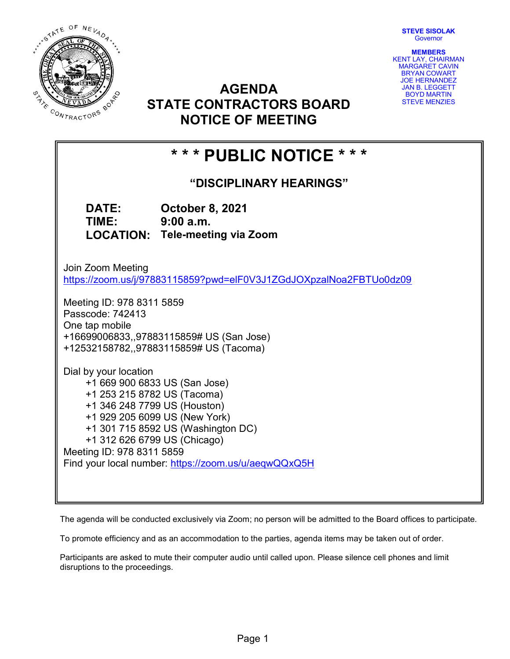STEVE SISOLAK **Governor** 



AGENDA STATE CONTRACTORS BOARD NOTICE OF MEETING

MEMBERS KENT LAY, CHAIRMAN MARGARET CAVIN BRYAN COWART JOE HERNANDEZ JAN B. LEGGETT BOYD MARTIN STEVE MENZIES

# \* \* \* PUBLIC NOTICE \* \* \*

"DISCIPLINARY HEARINGS"

DATE: October 8, 2021 TIME: 9:00 a.m. LOCATION: Tele-meeting via Zoom

Join Zoom Meeting https://zoom.us/j/97883115859?pwd=elF0V3J1ZGdJOXpzalNoa2FBTUo0dz09

Meeting ID: 978 8311 5859 Passcode: 742413 One tap mobile +16699006833,,97883115859# US (San Jose) +12532158782,,97883115859# US (Tacoma)

Dial by your location +1 669 900 6833 US (San Jose) +1 253 215 8782 US (Tacoma) +1 346 248 7799 US (Houston) +1 929 205 6099 US (New York) +1 301 715 8592 US (Washington DC) +1 312 626 6799 US (Chicago) Meeting ID: 978 8311 5859 Find your local number: https://zoom.us/u/aeqwQQxQ5H

The agenda will be conducted exclusively via Zoom; no person will be admitted to the Board offices to participate.

To promote efficiency and as an accommodation to the parties, agenda items may be taken out of order.

Participants are asked to mute their computer audio until called upon. Please silence cell phones and limit disruptions to the proceedings.